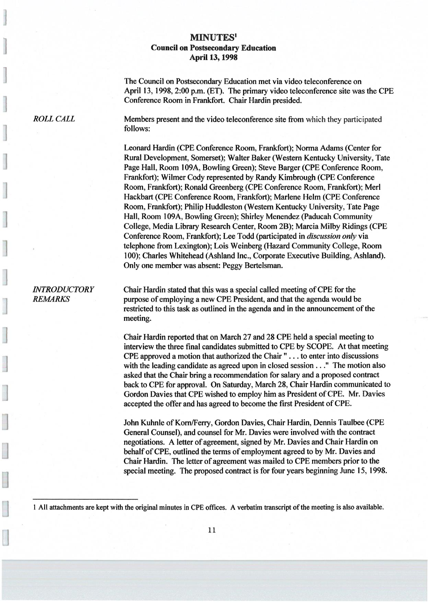## MINUTES' Council on Postsecondary Education **April 13, 1998**

The Council on Postsecondary Education met via video teleconference on April 13, 1998, 2:00 p.m. (ET). The primary video teleconference site was the CPE Conference Room in Frankfort. Chair Hardin presided.

ROLL CALL Members present and the video teleconference site from which they participated follows:

> Leonard Hardin (CPE Conference Room, Frankfort); Norma Adams (Center for Rural Development, Somerset); Walter Baker (Western Kentucky University, Tate Page Hall, Room 109A, Bowling Green); Steve Barger (CPE Conference Room, Frankfort); Wilmer Cody represented by Randy Kimbrough (CPE Conference Room, Frankfort); Ronald Greenberg (CPE Conference Room, Frankfort); Merl Hackbart (CPE Conference Room, Frankfort); Marlene Helm (CPE Conference Room, Frankfort); Philip Huddleston (Western Kentucky University, Tate Page Hall, Room 109A, Bowling Green); Shirley Menendez (Paducah Community College, Media Library Research Center, Room 2B); Marcia Milby Ridings (CPE Conference Room, Frankfort); Lee Todd (participated in discussion only via telephone from Lexington); Lois Weinberg (Hazard Community College, Room 100); Charles Whitehead (Ashland Inc., Corporate Executive Building, Ashland). Only one member was absent: Peggy Bertelsman.

INTRODUCTORY Chair Hardin stated that this was a special called meeting of CPE for the REMARKS purpose of employing a new CPE President, and that the agenda would be restricted to this task as outlined in the agenda and in the announcement of the meeting.

> Chair Hardin reported that on March 27 and 28 CPE held a special meeting to interview the three final candidates submitted to CPE by SCOPE. At that meeting CPE approved a motion that authorized the Chair " . . . to enter into discussions with the leading candidate as agreed upon in closed session . . ." The motion also asked that the Chair bring a recommendation for salary and a proposed contract back to CPE for approval. On Saturday, March 28, Chair Hardin communicated to Gordon Davies that CPE wished to employ him as President of CPE. Mr. Davies accepted the offer and has agreed to become the first President of CPE.

John Kuhnle of Korn/Ferry, Gordon Davies, Chair Hardin, Dennis Taulbee (CPE General Counsel), and counsel for Mr. Davies were involved with the contract negotiations. A letter of agreement, signed by Mr. Davies and Chair Hardin on behalf of CPE, outlined the terms of employment agreed to by Mr. Davies and Chair Hardin. The letter of agreement was mailed to CPE members prior to the special meeting. The proposed contract is for four years beginning June 15, 1998.

1 All attachments are kept with the original minutes in CPE offices. A verbatim transcript of the meeting is also available.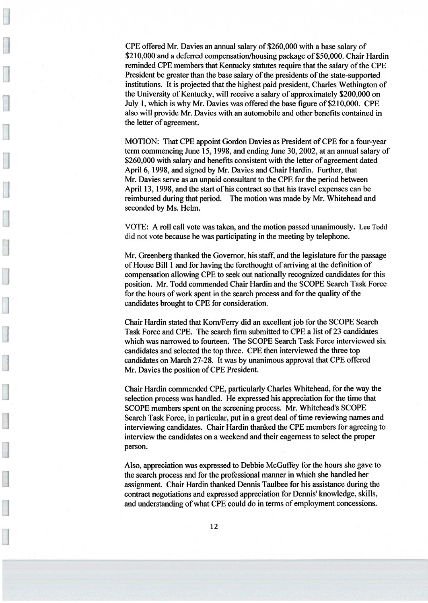CPE offered Mr. Davies an annual salary of \$260,000 with a base salary of \$210,000 and a deferred compensation/housing package of \$50,000. Chair Hardin reminded CPE members that Kentucky statutes require that the salary of the CPE President be greater than the base salary of the presidents of the state-supported institutions. It is projected that the highest paid president, Charles Wethington of the University of Kentucky, will receive a salary of approximately \$200,000 on July 1, which is why Mr. Davies was offered the base figure of \$210,000. CPE also will provide Mr. Davies with an automobile and other benefits contained in the letter of agreement.

MOTION: That CPE appoint Gordon Davies as President of CPE for a four-year term commencing June 15, 1998, and ending June 30, 2002, at an annual salary of \$260,000 with salary and benefits consistent with the letter of agreement dated Apri16, 1998, and signed by Mr. Davies and Chair Hardin. Further, that Mr. Davies serve as an unpaid consultant to the CPE for the period between April 13, 1998, and the start of his contract so that his travel expenses can be reimbursed during that period. The motion was made by Mr. Whitehead and seconded by Ms. Helm.

VOTE: A roll call vote was taken, and the motion passed unanimously. Lee Todd did not vote because he was participating in the meeting by telephone.

Mr. Greenberg thanked the Governor, his staff, and the legislature for the passage of House Bill 1 and for having the forethought of arriving at the definition of compensation allowing CPE to seek out nationally recognized candidates for this position. Mr. Todd commended Chair Hardin and the SCOPE Search Task Force for the hours of work spent in the search process and for the quality of the candidates brought to CPE for consideration.

Chair Hardin stated that Korn/Ferry did an excellent job for the SCOPE Search Task Force and CPE. The search firm submitted to CPE a list of 23 candidates which was narrowed to fourteen. The SCOPE Search Task Force interviewed six candidates and selected the top three. CPE then interviewed the three top candidates on March 27-28. It was by unanimous approval that CPE offered Mr. Davies the position of CPE President.

Chair Hardin commended CPE, particularly Charles Whitehead, for the way the selection process was handled. He expressed his appreciation for the time that SCOPE members spent on the screening process. Mr. Whitehead's SCOPE Search Task Force, in particular, put in a great deal of time reviewing names and interviewing candidates. Chair Hardin thanked the CPE members for agreeing to interview the candidates on a weekend and their eagerness to select the proper person.

Also, appreciation was expressed to Debbie McGuffey for the hours she gave to the search process and for the professional manner in which she handled her assignment. Chair Hardin thanked Dennis Taulbee for his assistance during the contract negotiations and expressed appreciation for Dennis' knowledge, skills, and understanding of what CPE could do in terms of employment concessions.